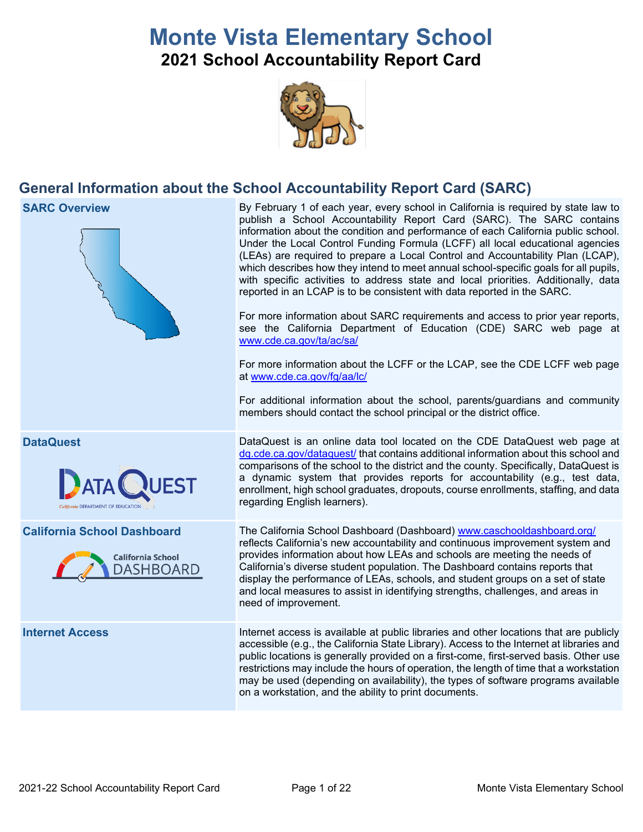# **Monte Vista Elementary School**

## **2021 School Accountability Report Card**



## **General Information about the School Accountability Report Card (SARC)**

**SARC Overview** By February 1 of each year, every school in California is required by state law to publish a School Accountability Report Card (SARC). The SARC contains information about the condition and performance of each California public school. Under the Local Control Funding Formula (LCFF) all local educational agencies (LEAs) are required to prepare a Local Control and Accountability Plan (LCAP), which describes how they intend to meet annual school-specific goals for all pupils, with specific activities to address state and local priorities. Additionally, data reported in an LCAP is to be consistent with data reported in the SARC. For more information about SARC requirements and access to prior year reports, see the California Department of Education (CDE) SARC web page at [www.cde.ca.gov/ta/ac/sa/](https://www.cde.ca.gov/ta/ac/sa/) For more information about the LCFF or the LCAP, see the CDE LCFF web page at [www.cde.ca.gov/fg/aa/lc/](https://www.cde.ca.gov/fg/aa/lc/) For additional information about the school, parents/guardians and community members should contact the school principal or the district office. **DataQuest** DataQuest **DataQuest** is an online data tool located on the CDE DataQuest web page at [dq.cde.ca.gov/dataquest/](https://dq.cde.ca.gov/dataquest/) that contains additional information about this school and comparisons of the school to the district and the county. Specifically, DataQuest is a dynamic system that provides reports for accountability (e.g., test data, enrollment, high school graduates, dropouts, course enrollments, staffing, and data regarding English learners). **California School Dashboard** The California School Dashboard (Dashboard) [www.caschooldashboard.org/](http://www.caschooldashboard.org/) reflects California's new accountability and continuous improvement system and provides information about how LEAs and schools are meeting the needs of **California School** California's diverse student population. The Dashboard contains reports that **DASHBOARD** display the performance of LEAs, schools, and student groups on a set of state and local measures to assist in identifying strengths, challenges, and areas in need of improvement. **Internet Access** Internet access is available at public libraries and other locations that are publicly

accessible (e.g., the California State Library). Access to the Internet at libraries and public locations is generally provided on a first-come, first-served basis. Other use restrictions may include the hours of operation, the length of time that a workstation may be used (depending on availability), the types of software programs available on a workstation, and the ability to print documents.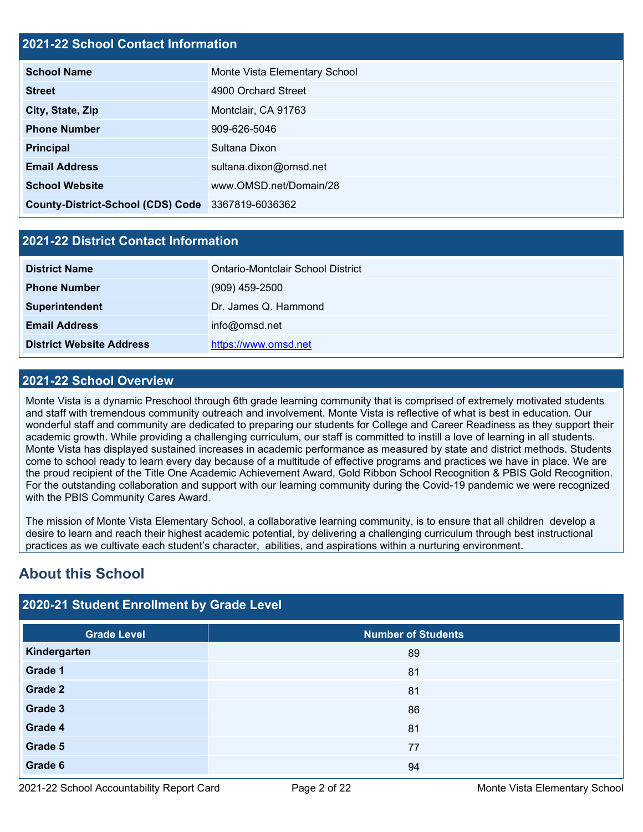#### **2021-22 School Contact Information**

| <b>School Name</b>                                | Monte Vista Elementary School |  |  |  |  |
|---------------------------------------------------|-------------------------------|--|--|--|--|
| <b>Street</b>                                     | 4900 Orchard Street           |  |  |  |  |
| City, State, Zip                                  | Montclair, CA 91763           |  |  |  |  |
| <b>Phone Number</b>                               | 909-626-5046                  |  |  |  |  |
| <b>Principal</b>                                  | Sultana Dixon                 |  |  |  |  |
| <b>Email Address</b>                              | sultana.dixon@omsd.net        |  |  |  |  |
| <b>School Website</b>                             | www.OMSD.net/Domain/28        |  |  |  |  |
| County-District-School (CDS) Code 3367819-6036362 |                               |  |  |  |  |

#### **2021-22 District Contact Information**

| <b>District Name</b>            | Ontario-Montclair School District |  |  |  |  |
|---------------------------------|-----------------------------------|--|--|--|--|
| <b>Phone Number</b>             | $(909)$ 459-2500                  |  |  |  |  |
| <b>Superintendent</b>           | Dr. James Q. Hammond              |  |  |  |  |
| <b>Email Address</b>            | info@omsd.net                     |  |  |  |  |
| <b>District Website Address</b> | https://www.omsd.net              |  |  |  |  |

#### **2021-22 School Overview**

Monte Vista is a dynamic Preschool through 6th grade learning community that is comprised of extremely motivated students and staff with tremendous community outreach and involvement. Monte Vista is reflective of what is best in education. Our wonderful staff and community are dedicated to preparing our students for College and Career Readiness as they support their academic growth. While providing a challenging curriculum, our staff is committed to instill a love of learning in all students. Monte Vista has displayed sustained increases in academic performance as measured by state and district methods. Students come to school ready to learn every day because of a multitude of effective programs and practices we have in place. We are the proud recipient of the Title One Academic Achievement Award, Gold Ribbon School Recognition & PBIS Gold Recognition. For the outstanding collaboration and support with our learning community during the Covid-19 pandemic we were recognized with the PBIS Community Cares Award.

The mission of Monte Vista Elementary School, a collaborative learning community, is to ensure that all children develop a desire to learn and reach their highest academic potential, by delivering a challenging curriculum through best instructional practices as we cultivate each student's character, abilities, and aspirations within a nurturing environment.

## **About this School**

## **2020-21 Student Enrollment by Grade Level**

| <b>Grade Level</b> | <b>Number of Students</b> |
|--------------------|---------------------------|
| Kindergarten       | 89                        |
| Grade 1            | 81                        |
| Grade 2            | 81                        |
| Grade 3            | 86                        |
| Grade 4            | 81                        |
| Grade 5            | 77                        |
| Grade 6            | 94                        |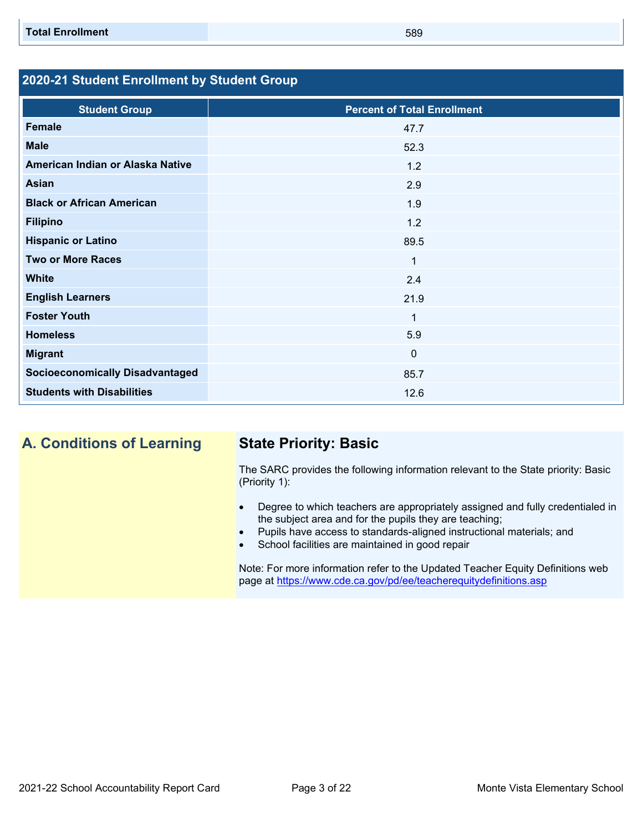### **2020-21 Student Enrollment by Student Group**

| <b>Student Group</b>                   | <b>Percent of Total Enrollment</b> |
|----------------------------------------|------------------------------------|
| Female                                 | 47.7                               |
| <b>Male</b>                            | 52.3                               |
| American Indian or Alaska Native       | 1.2                                |
| <b>Asian</b>                           | 2.9                                |
| <b>Black or African American</b>       | 1.9                                |
| <b>Filipino</b>                        | 1.2                                |
| <b>Hispanic or Latino</b>              | 89.5                               |
| <b>Two or More Races</b>               | 1                                  |
| <b>White</b>                           | 2.4                                |
| <b>English Learners</b>                | 21.9                               |
| <b>Foster Youth</b>                    | 1                                  |
| <b>Homeless</b>                        | 5.9                                |
| <b>Migrant</b>                         | $\mathbf{0}$                       |
| <b>Socioeconomically Disadvantaged</b> | 85.7                               |
| <b>Students with Disabilities</b>      | 12.6                               |

**A. Conditions of Learning State Priority: Basic**

The SARC provides the following information relevant to the State priority: Basic (Priority 1):

- Degree to which teachers are appropriately assigned and fully credentialed in the subject area and for the pupils they are teaching;
- Pupils have access to standards-aligned instructional materials; and
- School facilities are maintained in good repair

Note: For more information refer to the Updated Teacher Equity Definitions web page at<https://www.cde.ca.gov/pd/ee/teacherequitydefinitions.asp>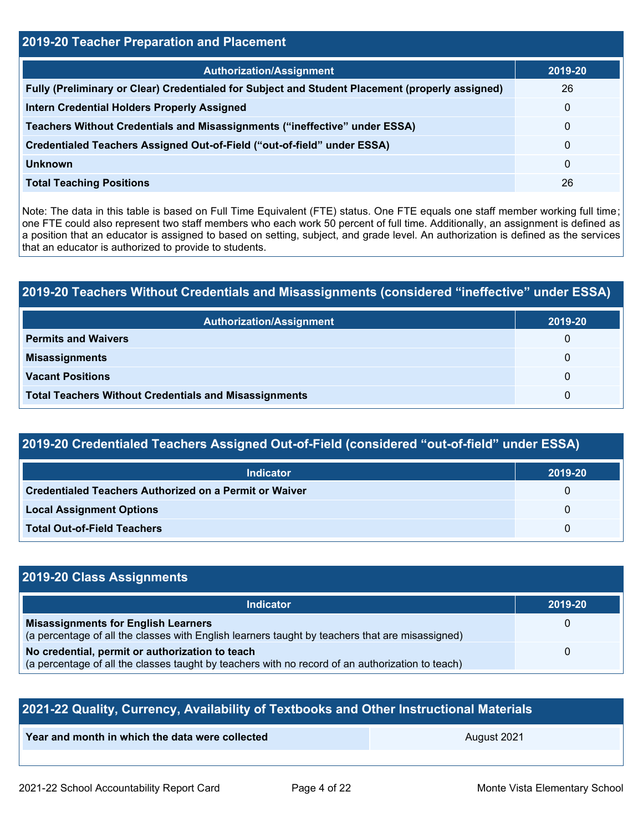| <b>2019-20 Teacher Preparation and Placement</b>                                                |              |  |  |  |
|-------------------------------------------------------------------------------------------------|--------------|--|--|--|
| <b>Authorization/Assignment</b>                                                                 | 2019-20      |  |  |  |
| Fully (Preliminary or Clear) Credentialed for Subject and Student Placement (properly assigned) | 26           |  |  |  |
| <b>Intern Credential Holders Properly Assigned</b>                                              | $\mathbf 0$  |  |  |  |
| Teachers Without Credentials and Misassignments ("ineffective" under ESSA)                      | $\mathbf{0}$ |  |  |  |
| Credentialed Teachers Assigned Out-of-Field ("out-of-field" under ESSA)                         | $\mathbf{0}$ |  |  |  |
| <b>Unknown</b>                                                                                  | $\mathbf 0$  |  |  |  |
| <b>Total Teaching Positions</b>                                                                 | 26           |  |  |  |

Note: The data in this table is based on Full Time Equivalent (FTE) status. One FTE equals one staff member working full time; one FTE could also represent two staff members who each work 50 percent of full time. Additionally, an assignment is defined as a position that an educator is assigned to based on setting, subject, and grade level. An authorization is defined as the services that an educator is authorized to provide to students.

## **2019-20 Teachers Without Credentials and Misassignments (considered "ineffective" under ESSA)**

| Authorization/Assignment                                     | 2019-20 |
|--------------------------------------------------------------|---------|
| <b>Permits and Waivers</b>                                   | 0       |
| <b>Misassignments</b>                                        | 0       |
| <b>Vacant Positions</b>                                      | 0       |
| <b>Total Teachers Without Credentials and Misassignments</b> | 0       |

## **2019-20 Credentialed Teachers Assigned Out-of-Field (considered "out-of-field" under ESSA)**

| <b>Indicator</b>                                              | 2019-20      |
|---------------------------------------------------------------|--------------|
| <b>Credentialed Teachers Authorized on a Permit or Waiver</b> |              |
| <b>Local Assignment Options</b>                               |              |
| <b>Total Out-of-Field Teachers</b>                            | $\mathbf{U}$ |

#### **2019-20 Class Assignments Indicator 2019-20 Misassignments for English Learners** (a percentage of all the classes with English learners taught by teachers that are misassigned)  $\Omega$ **No credential, permit or authorization to teach** (a percentage of all the classes taught by teachers with no record of an authorization to teach) 0

| 2021-22 Quality, Currency, Availability of Textbooks and Other Instructional Materials |  |  |  |  |  |  |
|----------------------------------------------------------------------------------------|--|--|--|--|--|--|
| Year and month in which the data were collected<br>August 2021                         |  |  |  |  |  |  |
|                                                                                        |  |  |  |  |  |  |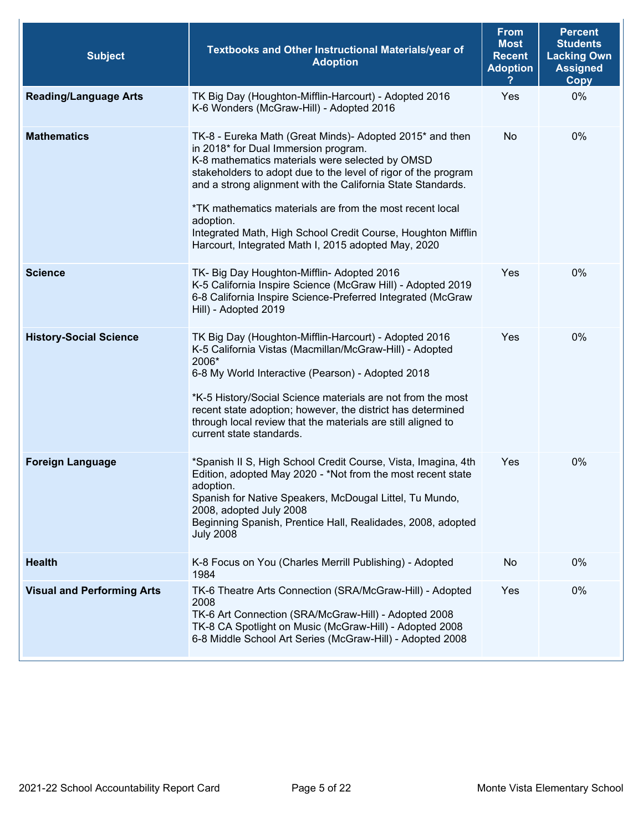| <b>Subject</b>                    | Textbooks and Other Instructional Materials/year of<br><b>Adoption</b>                                                                                                                                                                                                                                                                                                                                                                                                               | <b>From</b><br><b>Most</b><br><b>Recent</b><br><b>Adoption</b> | <b>Percent</b><br><b>Students</b><br><b>Lacking Own</b><br><b>Assigned</b><br><b>Copy</b> |
|-----------------------------------|--------------------------------------------------------------------------------------------------------------------------------------------------------------------------------------------------------------------------------------------------------------------------------------------------------------------------------------------------------------------------------------------------------------------------------------------------------------------------------------|----------------------------------------------------------------|-------------------------------------------------------------------------------------------|
| <b>Reading/Language Arts</b>      | TK Big Day (Houghton-Mifflin-Harcourt) - Adopted 2016<br>K-6 Wonders (McGraw-Hill) - Adopted 2016                                                                                                                                                                                                                                                                                                                                                                                    | Yes                                                            | 0%                                                                                        |
| <b>Mathematics</b>                | TK-8 - Eureka Math (Great Minds)- Adopted 2015* and then<br>in 2018* for Dual Immersion program.<br>K-8 mathematics materials were selected by OMSD<br>stakeholders to adopt due to the level of rigor of the program<br>and a strong alignment with the California State Standards.<br>*TK mathematics materials are from the most recent local<br>adoption.<br>Integrated Math, High School Credit Course, Houghton Mifflin<br>Harcourt, Integrated Math I, 2015 adopted May, 2020 | No                                                             | 0%                                                                                        |
| <b>Science</b>                    | TK- Big Day Houghton-Mifflin- Adopted 2016<br>K-5 California Inspire Science (McGraw Hill) - Adopted 2019<br>6-8 California Inspire Science-Preferred Integrated (McGraw<br>Hill) - Adopted 2019                                                                                                                                                                                                                                                                                     | Yes                                                            | 0%                                                                                        |
| <b>History-Social Science</b>     | TK Big Day (Houghton-Mifflin-Harcourt) - Adopted 2016<br>K-5 California Vistas (Macmillan/McGraw-Hill) - Adopted<br>2006*<br>6-8 My World Interactive (Pearson) - Adopted 2018<br>*K-5 History/Social Science materials are not from the most<br>recent state adoption; however, the district has determined<br>through local review that the materials are still aligned to<br>current state standards.                                                                             | Yes                                                            | 0%                                                                                        |
| <b>Foreign Language</b>           | *Spanish II S, High School Credit Course, Vista, Imagina, 4th<br>Edition, adopted May 2020 - *Not from the most recent state<br>adoption.<br>Spanish for Native Speakers, McDougal Littel, Tu Mundo,<br>2008, adopted July 2008<br>Beginning Spanish, Prentice Hall, Realidades, 2008, adopted<br><b>July 2008</b>                                                                                                                                                                   | Yes                                                            | 0%                                                                                        |
| <b>Health</b>                     | K-8 Focus on You (Charles Merrill Publishing) - Adopted<br>1984                                                                                                                                                                                                                                                                                                                                                                                                                      | No                                                             | 0%                                                                                        |
| <b>Visual and Performing Arts</b> | TK-6 Theatre Arts Connection (SRA/McGraw-Hill) - Adopted<br>2008<br>TK-6 Art Connection (SRA/McGraw-Hill) - Adopted 2008<br>TK-8 CA Spotlight on Music (McGraw-Hill) - Adopted 2008<br>6-8 Middle School Art Series (McGraw-Hill) - Adopted 2008                                                                                                                                                                                                                                     | Yes                                                            | 0%                                                                                        |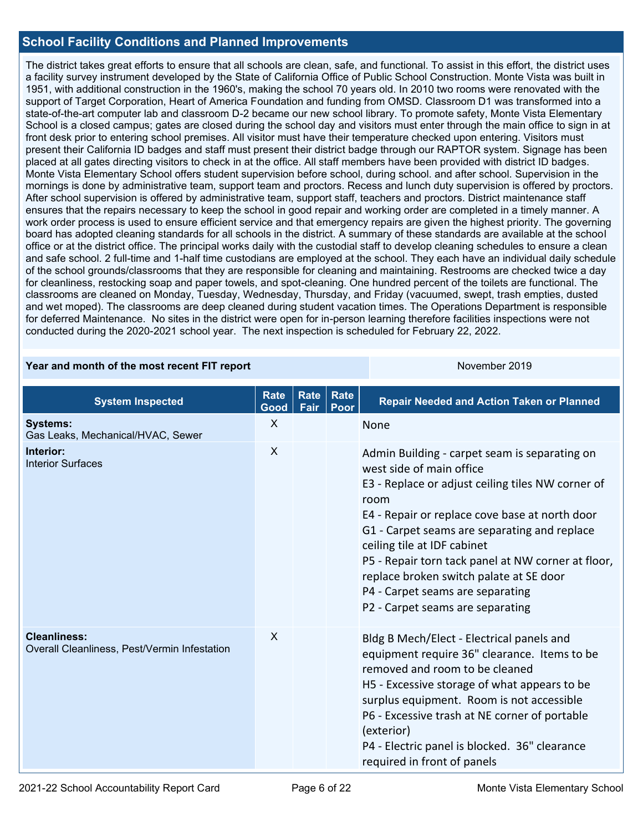#### **School Facility Conditions and Planned Improvements**

The district takes great efforts to ensure that all schools are clean, safe, and functional. To assist in this effort, the district uses a facility survey instrument developed by the State of California Office of Public School Construction. Monte Vista was built in 1951, with additional construction in the 1960's, making the school 70 years old. In 2010 two rooms were renovated with the support of Target Corporation, Heart of America Foundation and funding from OMSD. Classroom D1 was transformed into a state-of-the-art computer lab and classroom D-2 became our new school library. To promote safety, Monte Vista Elementary School is a closed campus; gates are closed during the school day and visitors must enter through the main office to sign in at front desk prior to entering school premises. All visitor must have their temperature checked upon entering. Visitors must present their California ID badges and staff must present their district badge through our RAPTOR system. Signage has been placed at all gates directing visitors to check in at the office. All staff members have been provided with district ID badges. Monte Vista Elementary School offers student supervision before school, during school. and after school. Supervision in the mornings is done by administrative team, support team and proctors. Recess and lunch duty supervision is offered by proctors. After school supervision is offered by administrative team, support staff, teachers and proctors. District maintenance staff ensures that the repairs necessary to keep the school in good repair and working order are completed in a timely manner. A work order process is used to ensure efficient service and that emergency repairs are given the highest priority. The governing board has adopted cleaning standards for all schools in the district. A summary of these standards are available at the school office or at the district office. The principal works daily with the custodial staff to develop cleaning schedules to ensure a clean and safe school. 2 full-time and 1-half time custodians are employed at the school. They each have an individual daily schedule of the school grounds/classrooms that they are responsible for cleaning and maintaining. Restrooms are checked twice a day for cleanliness, restocking soap and paper towels, and spot-cleaning. One hundred percent of the toilets are functional. The classrooms are cleaned on Monday, Tuesday, Wednesday, Thursday, and Friday (vacuumed, swept, trash empties, dusted and wet moped). The classrooms are deep cleaned during student vacation times. The Operations Department is responsible for deferred Maintenance. No sites in the district were open for in-person learning therefore facilities inspections were not conducted during the 2020-2021 school year. The next inspection is scheduled for February 22, 2022.

#### **Year and month of the most recent FIT report** November 2019

| <b>System Inspected</b>                                             | <b>Rate</b><br>Good | <b>Rate</b><br>Fair | <b>Rate</b><br>Poor | <b>Repair Needed and Action Taken or Planned</b>                                                                                                                                                                                                                                                                                                                                                                                                 |
|---------------------------------------------------------------------|---------------------|---------------------|---------------------|--------------------------------------------------------------------------------------------------------------------------------------------------------------------------------------------------------------------------------------------------------------------------------------------------------------------------------------------------------------------------------------------------------------------------------------------------|
| <b>Systems:</b><br>Gas Leaks, Mechanical/HVAC, Sewer                | X                   |                     |                     | <b>None</b>                                                                                                                                                                                                                                                                                                                                                                                                                                      |
| Interior:<br><b>Interior Surfaces</b>                               | $\sf X$             |                     |                     | Admin Building - carpet seam is separating on<br>west side of main office<br>E3 - Replace or adjust ceiling tiles NW corner of<br>room<br>E4 - Repair or replace cove base at north door<br>G1 - Carpet seams are separating and replace<br>ceiling tile at IDF cabinet<br>P5 - Repair torn tack panel at NW corner at floor,<br>replace broken switch palate at SE door<br>P4 - Carpet seams are separating<br>P2 - Carpet seams are separating |
| <b>Cleanliness:</b><br>Overall Cleanliness, Pest/Vermin Infestation | X                   |                     |                     | Bldg B Mech/Elect - Electrical panels and<br>equipment require 36" clearance. Items to be<br>removed and room to be cleaned<br>H5 - Excessive storage of what appears to be<br>surplus equipment. Room is not accessible<br>P6 - Excessive trash at NE corner of portable<br>(exterior)<br>P4 - Electric panel is blocked. 36" clearance<br>required in front of panels                                                                          |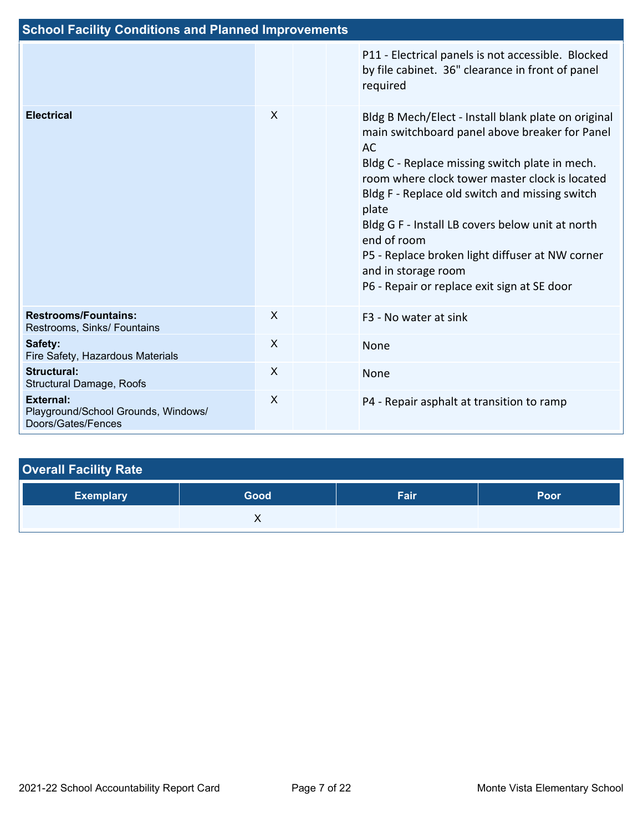| <b>School Facility Conditions and Planned Improvements</b>             |              |                                                                                                                                                                                                                                                                                                                                                                                                                                                                               |
|------------------------------------------------------------------------|--------------|-------------------------------------------------------------------------------------------------------------------------------------------------------------------------------------------------------------------------------------------------------------------------------------------------------------------------------------------------------------------------------------------------------------------------------------------------------------------------------|
|                                                                        |              | P11 - Electrical panels is not accessible. Blocked<br>by file cabinet. 36" clearance in front of panel<br>required                                                                                                                                                                                                                                                                                                                                                            |
| <b>Electrical</b>                                                      | $\mathsf{X}$ | Bldg B Mech/Elect - Install blank plate on original<br>main switchboard panel above breaker for Panel<br><b>AC</b><br>Bldg C - Replace missing switch plate in mech.<br>room where clock tower master clock is located<br>Bldg F - Replace old switch and missing switch<br>plate<br>Bldg G F - Install LB covers below unit at north<br>end of room<br>P5 - Replace broken light diffuser at NW corner<br>and in storage room<br>P6 - Repair or replace exit sign at SE door |
| <b>Restrooms/Fountains:</b><br>Restrooms, Sinks/ Fountains             | $\times$     | F <sub>3</sub> - No water at sink                                                                                                                                                                                                                                                                                                                                                                                                                                             |
| Safety:<br>Fire Safety, Hazardous Materials                            | X            | None                                                                                                                                                                                                                                                                                                                                                                                                                                                                          |
| <b>Structural:</b><br>Structural Damage, Roofs                         | $\mathsf{X}$ | None                                                                                                                                                                                                                                                                                                                                                                                                                                                                          |
| External:<br>Playground/School Grounds, Windows/<br>Doors/Gates/Fences | $\sf X$      | P4 - Repair asphalt at transition to ramp                                                                                                                                                                                                                                                                                                                                                                                                                                     |

| <b>Overall Facility Rate</b> |      |      |      |  |  |  |
|------------------------------|------|------|------|--|--|--|
| <b>Exemplary</b>             | Good | Fair | Poor |  |  |  |
|                              |      |      |      |  |  |  |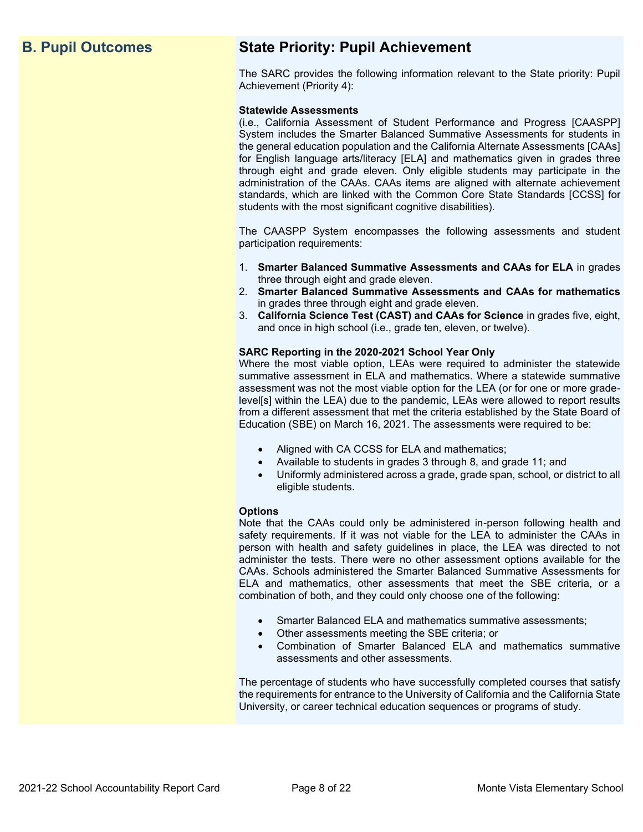## **B. Pupil Outcomes State Priority: Pupil Achievement**

The SARC provides the following information relevant to the State priority: Pupil Achievement (Priority 4):

#### **Statewide Assessments**

(i.e., California Assessment of Student Performance and Progress [CAASPP] System includes the Smarter Balanced Summative Assessments for students in the general education population and the California Alternate Assessments [CAAs] for English language arts/literacy [ELA] and mathematics given in grades three through eight and grade eleven. Only eligible students may participate in the administration of the CAAs. CAAs items are aligned with alternate achievement standards, which are linked with the Common Core State Standards [CCSS] for students with the most significant cognitive disabilities).

The CAASPP System encompasses the following assessments and student participation requirements:

- 1. **Smarter Balanced Summative Assessments and CAAs for ELA** in grades three through eight and grade eleven.
- 2. **Smarter Balanced Summative Assessments and CAAs for mathematics** in grades three through eight and grade eleven.
- 3. **California Science Test (CAST) and CAAs for Science** in grades five, eight, and once in high school (i.e., grade ten, eleven, or twelve).

#### **SARC Reporting in the 2020-2021 School Year Only**

Where the most viable option, LEAs were required to administer the statewide summative assessment in ELA and mathematics. Where a statewide summative assessment was not the most viable option for the LEA (or for one or more gradelevel[s] within the LEA) due to the pandemic, LEAs were allowed to report results from a different assessment that met the criteria established by the State Board of Education (SBE) on March 16, 2021. The assessments were required to be:

- Aligned with CA CCSS for ELA and mathematics;
- Available to students in grades 3 through 8, and grade 11; and
- Uniformly administered across a grade, grade span, school, or district to all eligible students.

#### **Options**

Note that the CAAs could only be administered in-person following health and safety requirements. If it was not viable for the LEA to administer the CAAs in person with health and safety guidelines in place, the LEA was directed to not administer the tests. There were no other assessment options available for the CAAs. Schools administered the Smarter Balanced Summative Assessments for ELA and mathematics, other assessments that meet the SBE criteria, or a combination of both, and they could only choose one of the following:

- Smarter Balanced ELA and mathematics summative assessments;
- Other assessments meeting the SBE criteria; or
- Combination of Smarter Balanced ELA and mathematics summative assessments and other assessments.

The percentage of students who have successfully completed courses that satisfy the requirements for entrance to the University of California and the California State University, or career technical education sequences or programs of study.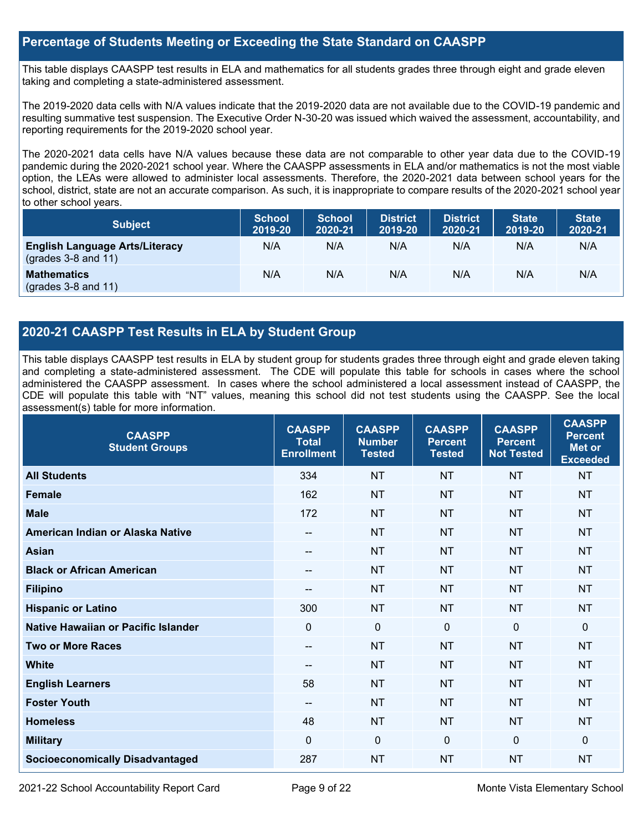#### **Percentage of Students Meeting or Exceeding the State Standard on CAASPP**

This table displays CAASPP test results in ELA and mathematics for all students grades three through eight and grade eleven taking and completing a state-administered assessment.

The 2019-2020 data cells with N/A values indicate that the 2019-2020 data are not available due to the COVID-19 pandemic and resulting summative test suspension. The Executive Order N-30-20 was issued which waived the assessment, accountability, and reporting requirements for the 2019-2020 school year.

The 2020-2021 data cells have N/A values because these data are not comparable to other year data due to the COVID-19 pandemic during the 2020-2021 school year. Where the CAASPP assessments in ELA and/or mathematics is not the most viable option, the LEAs were allowed to administer local assessments. Therefore, the 2020-2021 data between school years for the school, district, state are not an accurate comparison. As such, it is inappropriate to compare results of the 2020-2021 school year to other school years.

| <b>Subject</b>                                                       | <b>School</b><br>2019-20 | <b>School</b><br>2020-21 | <b>District</b><br>2019-20 | <b>District</b><br>2020-21 | <b>State</b><br>2019-20 | <b>State</b><br>2020-21 |
|----------------------------------------------------------------------|--------------------------|--------------------------|----------------------------|----------------------------|-------------------------|-------------------------|
| <b>English Language Arts/Literacy</b><br>$\left($ grades 3-8 and 11) | N/A                      | N/A                      | N/A                        | N/A                        | N/A                     | N/A                     |
| <b>Mathematics</b><br>$(grades 3-8 and 11)$                          | N/A                      | N/A                      | N/A                        | N/A                        | N/A                     | N/A                     |

### **2020-21 CAASPP Test Results in ELA by Student Group**

This table displays CAASPP test results in ELA by student group for students grades three through eight and grade eleven taking and completing a state-administered assessment. The CDE will populate this table for schools in cases where the school administered the CAASPP assessment. In cases where the school administered a local assessment instead of CAASPP, the CDE will populate this table with "NT" values, meaning this school did not test students using the CAASPP. See the local assessment(s) table for more information.

| <b>CAASPP</b><br><b>Student Groups</b> | <b>CAASPP</b><br><b>Total</b><br><b>Enrollment</b> | <b>CAASPP</b><br><b>Number</b><br><b>Tested</b> | <b>CAASPP</b><br><b>Percent</b><br><b>Tested</b> | <b>CAASPP</b><br><b>Percent</b><br><b>Not Tested</b> | <b>CAASPP</b><br><b>Percent</b><br>Met or<br><b>Exceeded</b> |
|----------------------------------------|----------------------------------------------------|-------------------------------------------------|--------------------------------------------------|------------------------------------------------------|--------------------------------------------------------------|
| <b>All Students</b>                    | 334                                                | <b>NT</b>                                       | <b>NT</b>                                        | <b>NT</b>                                            | <b>NT</b>                                                    |
| <b>Female</b>                          | 162                                                | <b>NT</b>                                       | <b>NT</b>                                        | <b>NT</b>                                            | <b>NT</b>                                                    |
| <b>Male</b>                            | 172                                                | <b>NT</b>                                       | <b>NT</b>                                        | <b>NT</b>                                            | <b>NT</b>                                                    |
| American Indian or Alaska Native       | $\qquad \qquad -$                                  | <b>NT</b>                                       | <b>NT</b>                                        | <b>NT</b>                                            | <b>NT</b>                                                    |
| <b>Asian</b>                           | $\qquad \qquad -$                                  | <b>NT</b>                                       | <b>NT</b>                                        | <b>NT</b>                                            | <b>NT</b>                                                    |
| <b>Black or African American</b>       |                                                    | <b>NT</b>                                       | <b>NT</b>                                        | <b>NT</b>                                            | <b>NT</b>                                                    |
| <b>Filipino</b>                        | $- -$                                              | <b>NT</b>                                       | <b>NT</b>                                        | <b>NT</b>                                            | <b>NT</b>                                                    |
| <b>Hispanic or Latino</b>              | 300                                                | <b>NT</b>                                       | <b>NT</b>                                        | <b>NT</b>                                            | <b>NT</b>                                                    |
| Native Hawaiian or Pacific Islander    | $\mathbf 0$                                        | $\mathbf 0$                                     | $\Omega$                                         | $\Omega$                                             | 0                                                            |
| <b>Two or More Races</b>               | $- -$                                              | <b>NT</b>                                       | <b>NT</b>                                        | <b>NT</b>                                            | <b>NT</b>                                                    |
| <b>White</b>                           | $\qquad \qquad -$                                  | <b>NT</b>                                       | <b>NT</b>                                        | <b>NT</b>                                            | <b>NT</b>                                                    |
| <b>English Learners</b>                | 58                                                 | <b>NT</b>                                       | <b>NT</b>                                        | <b>NT</b>                                            | <b>NT</b>                                                    |
| <b>Foster Youth</b>                    | $\qquad \qquad -$                                  | <b>NT</b>                                       | <b>NT</b>                                        | <b>NT</b>                                            | <b>NT</b>                                                    |
| <b>Homeless</b>                        | 48                                                 | <b>NT</b>                                       | <b>NT</b>                                        | <b>NT</b>                                            | <b>NT</b>                                                    |
| <b>Military</b>                        | $\Omega$                                           | $\mathbf 0$                                     | $\Omega$                                         | $\mathbf{0}$                                         | 0                                                            |
| <b>Socioeconomically Disadvantaged</b> | 287                                                | <b>NT</b>                                       | <b>NT</b>                                        | <b>NT</b>                                            | <b>NT</b>                                                    |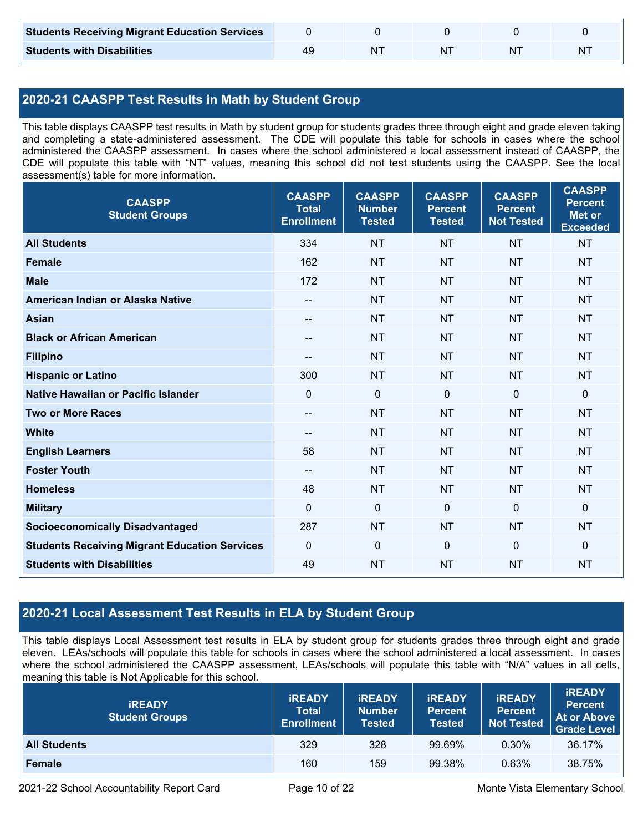| <b>Students Receiving Migrant Education Services</b> |    |  |   |
|------------------------------------------------------|----|--|---|
| <b>Students with Disabilities</b>                    | NΊ |  | N |

## **2020-21 CAASPP Test Results in Math by Student Group**

This table displays CAASPP test results in Math by student group for students grades three through eight and grade eleven taking and completing a state-administered assessment. The CDE will populate this table for schools in cases where the school administered the CAASPP assessment. In cases where the school administered a local assessment instead of CAASPP, the CDE will populate this table with "NT" values, meaning this school did not test students using the CAASPP. See the local assessment(s) table for more information.

| <b>CAASPP</b><br><b>Student Groups</b>               | <b>CAASPP</b><br><b>Total</b><br><b>Enrollment</b> | <b>CAASPP</b><br><b>Number</b><br><b>Tested</b> | <b>CAASPP</b><br><b>Percent</b><br><b>Tested</b> | <b>CAASPP</b><br><b>Percent</b><br><b>Not Tested</b> | <b>CAASPP</b><br><b>Percent</b><br><b>Met or</b><br><b>Exceeded</b> |
|------------------------------------------------------|----------------------------------------------------|-------------------------------------------------|--------------------------------------------------|------------------------------------------------------|---------------------------------------------------------------------|
| <b>All Students</b>                                  | 334                                                | <b>NT</b>                                       | <b>NT</b>                                        | <b>NT</b>                                            | <b>NT</b>                                                           |
| <b>Female</b>                                        | 162                                                | <b>NT</b>                                       | <b>NT</b>                                        | <b>NT</b>                                            | <b>NT</b>                                                           |
| <b>Male</b>                                          | 172                                                | <b>NT</b>                                       | <b>NT</b>                                        | <b>NT</b>                                            | <b>NT</b>                                                           |
| American Indian or Alaska Native                     | --                                                 | <b>NT</b>                                       | <b>NT</b>                                        | <b>NT</b>                                            | <b>NT</b>                                                           |
| <b>Asian</b>                                         | --                                                 | <b>NT</b>                                       | <b>NT</b>                                        | <b>NT</b>                                            | <b>NT</b>                                                           |
| <b>Black or African American</b>                     | $\overline{\phantom{a}}$                           | <b>NT</b>                                       | <b>NT</b>                                        | <b>NT</b>                                            | <b>NT</b>                                                           |
| <b>Filipino</b>                                      |                                                    | <b>NT</b>                                       | <b>NT</b>                                        | <b>NT</b>                                            | <b>NT</b>                                                           |
| <b>Hispanic or Latino</b>                            | 300                                                | <b>NT</b>                                       | <b>NT</b>                                        | <b>NT</b>                                            | NT                                                                  |
| <b>Native Hawaiian or Pacific Islander</b>           | $\mathbf 0$                                        | $\mathbf 0$                                     | $\mathbf 0$                                      | $\mathbf 0$                                          | 0                                                                   |
| <b>Two or More Races</b>                             | $\overline{\phantom{a}}$                           | <b>NT</b>                                       | <b>NT</b>                                        | <b>NT</b>                                            | <b>NT</b>                                                           |
| <b>White</b>                                         | $-$                                                | <b>NT</b>                                       | <b>NT</b>                                        | <b>NT</b>                                            | <b>NT</b>                                                           |
| <b>English Learners</b>                              | 58                                                 | <b>NT</b>                                       | <b>NT</b>                                        | <b>NT</b>                                            | <b>NT</b>                                                           |
| <b>Foster Youth</b>                                  | --                                                 | <b>NT</b>                                       | <b>NT</b>                                        | <b>NT</b>                                            | <b>NT</b>                                                           |
| <b>Homeless</b>                                      | 48                                                 | <b>NT</b>                                       | <b>NT</b>                                        | <b>NT</b>                                            | <b>NT</b>                                                           |
| <b>Military</b>                                      | $\mathbf 0$                                        | $\mathbf 0$                                     | $\mathbf 0$                                      | $\mathbf 0$                                          | 0                                                                   |
| <b>Socioeconomically Disadvantaged</b>               | 287                                                | <b>NT</b>                                       | <b>NT</b>                                        | <b>NT</b>                                            | <b>NT</b>                                                           |
| <b>Students Receiving Migrant Education Services</b> | $\mathbf 0$                                        | $\mathbf 0$                                     | $\mathbf 0$                                      | $\overline{0}$                                       | $\mathbf 0$                                                         |
| <b>Students with Disabilities</b>                    | 49                                                 | <b>NT</b>                                       | <b>NT</b>                                        | <b>NT</b>                                            | <b>NT</b>                                                           |

## **2020-21 Local Assessment Test Results in ELA by Student Group**

This table displays Local Assessment test results in ELA by student group for students grades three through eight and grade eleven. LEAs/schools will populate this table for schools in cases where the school administered a local assessment. In cases where the school administered the CAASPP assessment, LEAs/schools will populate this table with "N/A" values in all cells, meaning this table is Not Applicable for this school.

| <b>IREADY</b><br><b>Student Groups</b> | <b>IREADY</b><br><b>Total</b><br><b>Enrollment</b> | <b>IREADY</b><br><b>Number</b><br><b>Tested</b> | <b>IREADY</b><br><b>Percent</b><br><b>Tested</b> | <b>IREADY</b><br><b>Percent</b><br><b>Not Tested</b> | <b>IREADY</b><br><b>Percent</b><br>At or Above<br><b>Grade Level</b> |
|----------------------------------------|----------------------------------------------------|-------------------------------------------------|--------------------------------------------------|------------------------------------------------------|----------------------------------------------------------------------|
| <b>All Students</b>                    | 329                                                | 328                                             | 99.69%                                           | $0.30\%$                                             | 36.17%                                                               |
| <b>Female</b>                          | 160                                                | 159                                             | 99.38%                                           | 0.63%                                                | 38.75%                                                               |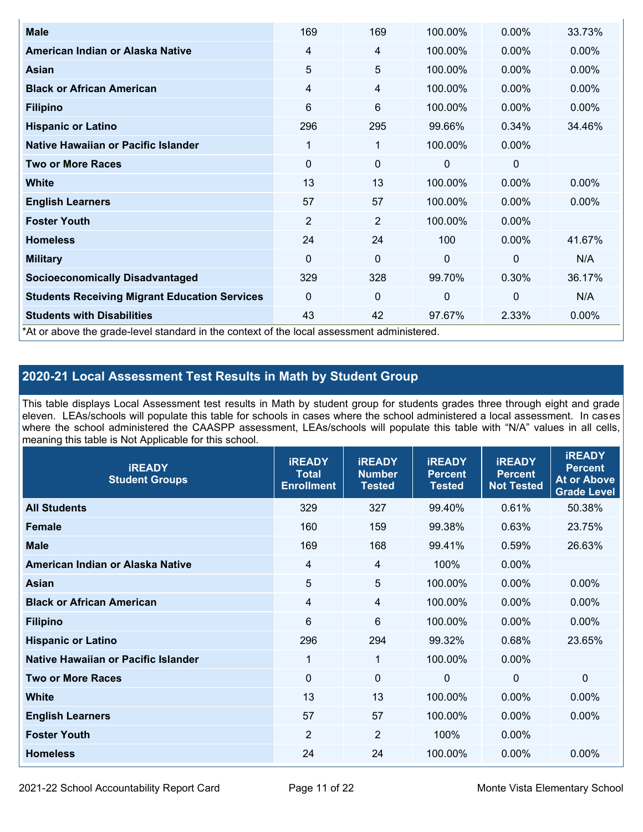| <b>Male</b>                                                                                | 169            | 169            | 100.00%      | $0.00\%$       | 33.73%   |
|--------------------------------------------------------------------------------------------|----------------|----------------|--------------|----------------|----------|
| American Indian or Alaska Native                                                           | 4              | 4              | 100.00%      | 0.00%          | $0.00\%$ |
| <b>Asian</b>                                                                               | 5              | 5              | 100.00%      | $0.00\%$       | 0.00%    |
| <b>Black or African American</b>                                                           | $\overline{4}$ | 4              | 100.00%      | $0.00\%$       | $0.00\%$ |
| <b>Filipino</b>                                                                            | 6              | 6              | 100.00%      | 0.00%          | 0.00%    |
| <b>Hispanic or Latino</b>                                                                  | 296            | 295            | 99.66%       | 0.34%          | 34.46%   |
| Native Hawaiian or Pacific Islander                                                        | 1              | 1              | 100.00%      | 0.00%          |          |
| <b>Two or More Races</b>                                                                   | $\mathbf 0$    | 0              | 0            | 0              |          |
| White                                                                                      | 13             | 13             | 100.00%      | $0.00\%$       | $0.00\%$ |
| <b>English Learners</b>                                                                    | 57             | 57             | 100.00%      | $0.00\%$       | $0.00\%$ |
| <b>Foster Youth</b>                                                                        | $\overline{2}$ | $\overline{2}$ | 100.00%      | $0.00\%$       |          |
| <b>Homeless</b>                                                                            | 24             | 24             | 100          | $0.00\%$       | 41.67%   |
| <b>Military</b>                                                                            | $\Omega$       | $\mathbf 0$    | $\mathbf{0}$ | $\overline{0}$ | N/A      |
| <b>Socioeconomically Disadvantaged</b>                                                     | 329            | 328            | 99.70%       | 0.30%          | 36.17%   |
| <b>Students Receiving Migrant Education Services</b>                                       | $\Omega$       | 0              | $\mathbf 0$  | $\mathbf 0$    | N/A      |
| <b>Students with Disabilities</b>                                                          | 43             | 42             | 97.67%       | 2.33%          | 0.00%    |
| *At or above the grade-level standard in the context of the local assessment administered. |                |                |              |                |          |

## **2020-21 Local Assessment Test Results in Math by Student Group**

This table displays Local Assessment test results in Math by student group for students grades three through eight and grade eleven. LEAs/schools will populate this table for schools in cases where the school administered a local assessment. In cases where the school administered the CAASPP assessment, LEAs/schools will populate this table with "N/A" values in all cells, meaning this table is Not Applicable for this school.

| <b>iREADY</b><br><b>Student Groups</b> | <b>IREADY</b><br><b>Total</b><br><b>Enrollment</b> | <b>iREADY</b><br><b>Number</b><br><b>Tested</b> | <b>iREADY</b><br><b>Percent</b><br><b>Tested</b> | <b>IREADY</b><br><b>Percent</b><br><b>Not Tested</b> | <b>IREADY</b><br><b>Percent</b><br><b>At or Above</b><br><b>Grade Level</b> |
|----------------------------------------|----------------------------------------------------|-------------------------------------------------|--------------------------------------------------|------------------------------------------------------|-----------------------------------------------------------------------------|
| <b>All Students</b>                    | 329                                                | 327                                             | 99.40%                                           | 0.61%                                                | 50.38%                                                                      |
| <b>Female</b>                          | 160                                                | 159                                             | 99.38%                                           | 0.63%                                                | 23.75%                                                                      |
| <b>Male</b>                            | 169                                                | 168                                             | 99.41%                                           | 0.59%                                                | 26.63%                                                                      |
| American Indian or Alaska Native       | 4                                                  | 4                                               | 100%                                             | 0.00%                                                |                                                                             |
| Asian                                  | 5                                                  | 5                                               | 100.00%                                          | 0.00%                                                | 0.00%                                                                       |
| <b>Black or African American</b>       | 4                                                  | 4                                               | 100.00%                                          | 0.00%                                                | 0.00%                                                                       |
| <b>Filipino</b>                        | 6                                                  | 6                                               | 100.00%                                          | 0.00%                                                | 0.00%                                                                       |
| <b>Hispanic or Latino</b>              | 296                                                | 294                                             | 99.32%                                           | 0.68%                                                | 23.65%                                                                      |
| Native Hawaiian or Pacific Islander    | 1                                                  | $\mathbf{1}$                                    | 100.00%                                          | 0.00%                                                |                                                                             |
| <b>Two or More Races</b>               | $\Omega$                                           | $\mathbf 0$                                     | $\mathbf{0}$                                     | $\overline{0}$                                       | $\Omega$                                                                    |
| <b>White</b>                           | 13                                                 | 13                                              | 100.00%                                          | 0.00%                                                | 0.00%                                                                       |
| <b>English Learners</b>                | 57                                                 | 57                                              | 100.00%                                          | 0.00%                                                | $0.00\%$                                                                    |
| <b>Foster Youth</b>                    | $\overline{2}$                                     | $\overline{2}$                                  | 100%                                             | 0.00%                                                |                                                                             |
| <b>Homeless</b>                        | 24                                                 | 24                                              | 100.00%                                          | 0.00%                                                | 0.00%                                                                       |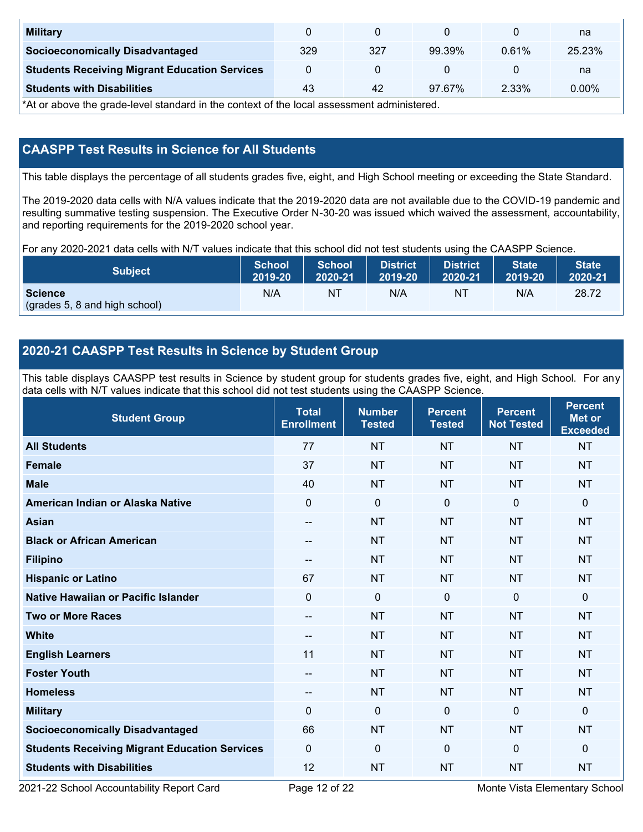| <b>Military</b>                                      |     |     |        |       | na       |
|------------------------------------------------------|-----|-----|--------|-------|----------|
| <b>Socioeconomically Disadvantaged</b>               | 329 | 327 | 99.39% | 0.61% | 25.23%   |
| <b>Students Receiving Migrant Education Services</b> |     |     |        |       | na       |
| <b>Students with Disabilities</b>                    | 43  | 42  | 97.67% | 2.33% | $0.00\%$ |

\*At or above the grade-level standard in the context of the local assessment administered.

## **CAASPP Test Results in Science for All Students**

This table displays the percentage of all students grades five, eight, and High School meeting or exceeding the State Standard.

The 2019-2020 data cells with N/A values indicate that the 2019-2020 data are not available due to the COVID-19 pandemic and resulting summative testing suspension. The Executive Order N-30-20 was issued which waived the assessment, accountability, and reporting requirements for the 2019-2020 school year.

For any 2020-2021 data cells with N/T values indicate that this school did not test students using the CAASPP Science.

| <b>Subject</b>                                  | <b>School</b> | <b>School</b> | <b>District</b> | <b>District</b> | <b>State</b> | <b>State</b> |
|-------------------------------------------------|---------------|---------------|-----------------|-----------------|--------------|--------------|
|                                                 | 2019-20       | 2020-21       | 2019-20         | 2020-21         | 2019-20      | 2020-21      |
| <b>Science</b><br>(grades 5, 8 and high school) | N/A           | ΝT            | N/A             | N1              | N/A          | 28.72        |

### **2020-21 CAASPP Test Results in Science by Student Group**

This table displays CAASPP test results in Science by student group for students grades five, eight, and High School. For any data cells with N/T values indicate that this school did not test students using the CAASPP Science.

| <b>Student Group</b>                                 | <b>Total</b><br><b>Enrollment</b> | <b>Number</b><br><b>Tested</b> | <b>Percent</b><br><b>Tested</b> | <b>Percent</b><br><b>Not Tested</b> | <b>Percent</b><br><b>Met or</b><br><b>Exceeded</b> |
|------------------------------------------------------|-----------------------------------|--------------------------------|---------------------------------|-------------------------------------|----------------------------------------------------|
| <b>All Students</b>                                  | 77                                | <b>NT</b>                      | <b>NT</b>                       | <b>NT</b>                           | <b>NT</b>                                          |
| <b>Female</b>                                        | 37                                | <b>NT</b>                      | <b>NT</b>                       | <b>NT</b>                           | <b>NT</b>                                          |
| <b>Male</b>                                          | 40                                | <b>NT</b>                      | <b>NT</b>                       | <b>NT</b>                           | <b>NT</b>                                          |
| American Indian or Alaska Native                     | $\overline{0}$                    | $\mathbf 0$                    | $\mathbf 0$                     | $\overline{0}$                      | 0                                                  |
| <b>Asian</b>                                         | --                                | <b>NT</b>                      | <b>NT</b>                       | <b>NT</b>                           | <b>NT</b>                                          |
| <b>Black or African American</b>                     | --                                | <b>NT</b>                      | <b>NT</b>                       | <b>NT</b>                           | <b>NT</b>                                          |
| <b>Filipino</b>                                      | $\qquad \qquad -$                 | <b>NT</b>                      | <b>NT</b>                       | <b>NT</b>                           | <b>NT</b>                                          |
| <b>Hispanic or Latino</b>                            | 67                                | <b>NT</b>                      | <b>NT</b>                       | <b>NT</b>                           | <b>NT</b>                                          |
| <b>Native Hawaiian or Pacific Islander</b>           | $\Omega$                          | $\mathbf 0$                    | $\mathbf 0$                     | $\mathbf 0$                         | 0                                                  |
| <b>Two or More Races</b>                             | --                                | <b>NT</b>                      | <b>NT</b>                       | <b>NT</b>                           | <b>NT</b>                                          |
| <b>White</b>                                         | $\qquad \qquad -$                 | <b>NT</b>                      | <b>NT</b>                       | <b>NT</b>                           | <b>NT</b>                                          |
| <b>English Learners</b>                              | 11                                | <b>NT</b>                      | <b>NT</b>                       | <b>NT</b>                           | <b>NT</b>                                          |
| <b>Foster Youth</b>                                  | $\overline{\phantom{a}}$          | <b>NT</b>                      | <b>NT</b>                       | <b>NT</b>                           | <b>NT</b>                                          |
| <b>Homeless</b>                                      | $\qquad \qquad -$                 | <b>NT</b>                      | <b>NT</b>                       | <b>NT</b>                           | <b>NT</b>                                          |
| <b>Military</b>                                      | $\Omega$                          | $\mathbf 0$                    | $\mathbf{0}$                    | $\mathbf{0}$                        | 0                                                  |
| <b>Socioeconomically Disadvantaged</b>               | 66                                | <b>NT</b>                      | <b>NT</b>                       | <b>NT</b>                           | <b>NT</b>                                          |
| <b>Students Receiving Migrant Education Services</b> | $\mathbf{0}$                      | 0                              | $\mathbf 0$                     | $\mathbf 0$                         | 0                                                  |
| <b>Students with Disabilities</b>                    | 12                                | <b>NT</b>                      | <b>NT</b>                       | <b>NT</b>                           | <b>NT</b>                                          |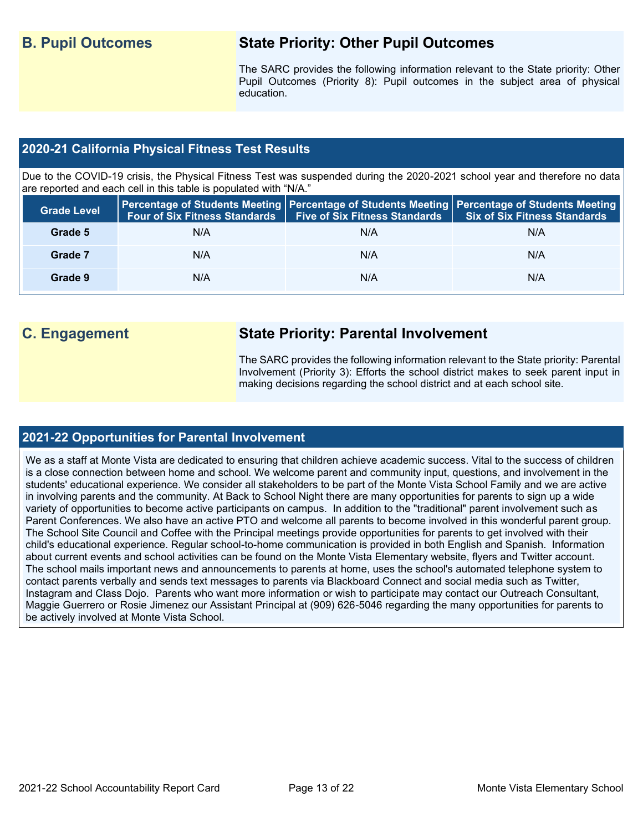## **B. Pupil Outcomes State Priority: Other Pupil Outcomes**

The SARC provides the following information relevant to the State priority: Other Pupil Outcomes (Priority 8): Pupil outcomes in the subject area of physical education.

#### **2020-21 California Physical Fitness Test Results**

Due to the COVID-19 crisis, the Physical Fitness Test was suspended during the 2020-2021 school year and therefore no data are reported and each cell in this table is populated with "N/A."

| <b>Grade Level</b> |     | Four of Six Fitness Standards   Five of Six Fitness Standards | <b>Percentage of Students Meeting   Percentage of Students Meeting   Percentage of Students Meeting  </b><br><b>Six of Six Fitness Standards</b> |
|--------------------|-----|---------------------------------------------------------------|--------------------------------------------------------------------------------------------------------------------------------------------------|
| Grade 5            | N/A | N/A                                                           | N/A                                                                                                                                              |
| Grade 7            | N/A | N/A                                                           | N/A                                                                                                                                              |
| Grade 9            | N/A | N/A                                                           | N/A                                                                                                                                              |

## **C. Engagement State Priority: Parental Involvement**

The SARC provides the following information relevant to the State priority: Parental Involvement (Priority 3): Efforts the school district makes to seek parent input in making decisions regarding the school district and at each school site.

#### **2021-22 Opportunities for Parental Involvement**

We as a staff at Monte Vista are dedicated to ensuring that children achieve academic success. Vital to the success of children is a close connection between home and school. We welcome parent and community input, questions, and involvement in the students' educational experience. We consider all stakeholders to be part of the Monte Vista School Family and we are active in involving parents and the community. At Back to School Night there are many opportunities for parents to sign up a wide variety of opportunities to become active participants on campus. In addition to the "traditional" parent involvement such as Parent Conferences. We also have an active PTO and welcome all parents to become involved in this wonderful parent group. The School Site Council and Coffee with the Principal meetings provide opportunities for parents to get involved with their child's educational experience. Regular school-to-home communication is provided in both English and Spanish. Information about current events and school activities can be found on the Monte Vista Elementary website, flyers and Twitter account. The school mails important news and announcements to parents at home, uses the school's automated telephone system to contact parents verbally and sends text messages to parents via Blackboard Connect and social media such as Twitter, Instagram and Class Dojo. Parents who want more information or wish to participate may contact our Outreach Consultant, Maggie Guerrero or Rosie Jimenez our Assistant Principal at (909) 626-5046 regarding the many opportunities for parents to be actively involved at Monte Vista School.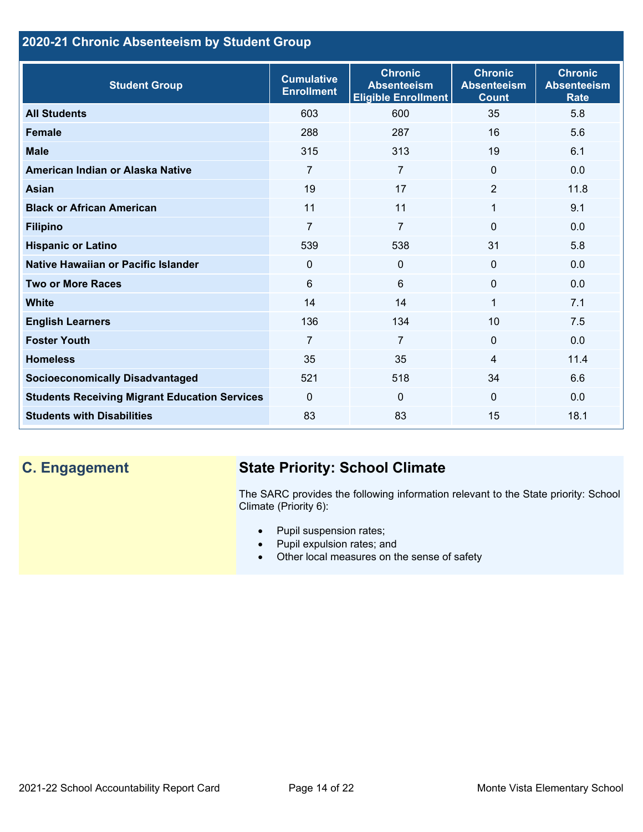## **2020-21 Chronic Absenteeism by Student Group**

| <b>Student Group</b>                                 | <b>Cumulative</b><br><b>Enrollment</b> | <b>Chronic</b><br><b>Absenteeism</b><br><b>Eligible Enrollment</b> | <b>Chronic</b><br><b>Absenteeism</b><br><b>Count</b> | <b>Chronic</b><br><b>Absenteeism</b><br><b>Rate</b> |
|------------------------------------------------------|----------------------------------------|--------------------------------------------------------------------|------------------------------------------------------|-----------------------------------------------------|
| <b>All Students</b>                                  | 603                                    | 600                                                                | 35                                                   | 5.8                                                 |
| <b>Female</b>                                        | 288                                    | 287                                                                | 16                                                   | 5.6                                                 |
| <b>Male</b>                                          | 315                                    | 313                                                                | 19                                                   | 6.1                                                 |
| American Indian or Alaska Native                     | 7                                      | $\overline{7}$                                                     | $\mathbf{0}$                                         | 0.0                                                 |
| <b>Asian</b>                                         | 19                                     | 17                                                                 | 2                                                    | 11.8                                                |
| <b>Black or African American</b>                     | 11                                     | 11                                                                 | 1                                                    | 9.1                                                 |
| <b>Filipino</b>                                      | $\overline{7}$                         | $\overline{7}$                                                     | $\mathbf{0}$                                         | 0.0                                                 |
| <b>Hispanic or Latino</b>                            | 539                                    | 538                                                                | 31                                                   | 5.8                                                 |
| Native Hawaiian or Pacific Islander                  | 0                                      | $\mathbf 0$                                                        | $\mathbf 0$                                          | 0.0                                                 |
| <b>Two or More Races</b>                             | 6                                      | $6\phantom{1}$                                                     | $\Omega$                                             | 0.0                                                 |
| <b>White</b>                                         | 14                                     | 14                                                                 | 1                                                    | 7.1                                                 |
| <b>English Learners</b>                              | 136                                    | 134                                                                | 10                                                   | 7.5                                                 |
| <b>Foster Youth</b>                                  | $\overline{7}$                         | $\overline{7}$                                                     | $\Omega$                                             | 0.0                                                 |
| <b>Homeless</b>                                      | 35                                     | 35                                                                 | 4                                                    | 11.4                                                |
| <b>Socioeconomically Disadvantaged</b>               | 521                                    | 518                                                                | 34                                                   | 6.6                                                 |
| <b>Students Receiving Migrant Education Services</b> | $\mathbf{0}$                           | $\Omega$                                                           | $\mathbf{0}$                                         | 0.0                                                 |
| <b>Students with Disabilities</b>                    | 83                                     | 83                                                                 | 15                                                   | 18.1                                                |

# **C. Engagement State Priority: School Climate**

The SARC provides the following information relevant to the State priority: School Climate (Priority 6):

- Pupil suspension rates;
- Pupil expulsion rates; and
- Other local measures on the sense of safety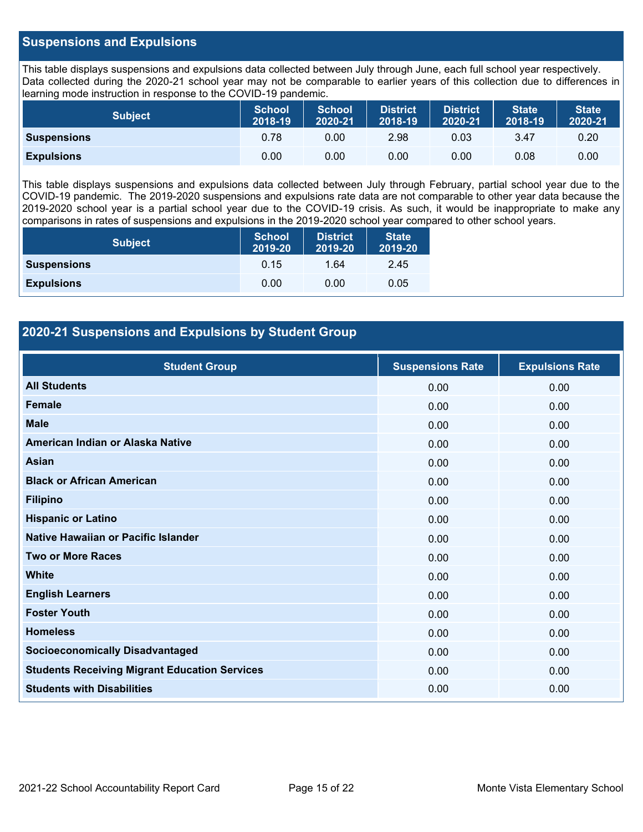#### **Suspensions and Expulsions**

This table displays suspensions and expulsions data collected between July through June, each full school year respectively. Data collected during the 2020-21 school year may not be comparable to earlier years of this collection due to differences in learning mode instruction in response to the COVID-19 pandemic.

| <b>Subject</b>     | <b>School</b><br>2018-19 | <b>School</b><br>2020-21 | <b>District</b><br>2018-19 | <b>District</b><br>2020-21 | <b>State</b><br>2018-19 | <b>State</b><br>2020-21 |
|--------------------|--------------------------|--------------------------|----------------------------|----------------------------|-------------------------|-------------------------|
| <b>Suspensions</b> | 0.78                     | 0.00                     | 2.98                       | 0.03                       | 3.47                    | 0.20                    |
| <b>Expulsions</b>  | 0.00                     | 0.00                     | 0.00                       | 0.00                       | 0.08                    | 0.00                    |

This table displays suspensions and expulsions data collected between July through February, partial school year due to the COVID-19 pandemic. The 2019-2020 suspensions and expulsions rate data are not comparable to other year data because the 2019-2020 school year is a partial school year due to the COVID-19 crisis. As such, it would be inappropriate to make any comparisons in rates of suspensions and expulsions in the 2019-2020 school year compared to other school years.

| <b>Subject</b>     | <b>School</b><br>2019-20 | <b>District</b><br>2019-20 | <b>State</b><br>2019-20 |
|--------------------|--------------------------|----------------------------|-------------------------|
| <b>Suspensions</b> | 0.15                     | 1.64                       | 2.45                    |
| <b>Expulsions</b>  | 0.00                     | 0.00                       | 0.05                    |

#### **2020-21 Suspensions and Expulsions by Student Group**

| <b>Student Group</b>                                 | <b>Suspensions Rate</b> | <b>Expulsions Rate</b> |
|------------------------------------------------------|-------------------------|------------------------|
| <b>All Students</b>                                  | 0.00                    | 0.00                   |
| <b>Female</b>                                        | 0.00                    | 0.00                   |
| <b>Male</b>                                          | 0.00                    | 0.00                   |
| American Indian or Alaska Native                     | 0.00                    | 0.00                   |
| <b>Asian</b>                                         | 0.00                    | 0.00                   |
| <b>Black or African American</b>                     | 0.00                    | 0.00                   |
| <b>Filipino</b>                                      | 0.00                    | 0.00                   |
| <b>Hispanic or Latino</b>                            | 0.00                    | 0.00                   |
| Native Hawaiian or Pacific Islander                  | 0.00                    | 0.00                   |
| <b>Two or More Races</b>                             | 0.00                    | 0.00                   |
| <b>White</b>                                         | 0.00                    | 0.00                   |
| <b>English Learners</b>                              | 0.00                    | 0.00                   |
| <b>Foster Youth</b>                                  | 0.00                    | 0.00                   |
| <b>Homeless</b>                                      | 0.00                    | 0.00                   |
| <b>Socioeconomically Disadvantaged</b>               | 0.00                    | 0.00                   |
| <b>Students Receiving Migrant Education Services</b> | 0.00                    | 0.00                   |
| <b>Students with Disabilities</b>                    | 0.00                    | 0.00                   |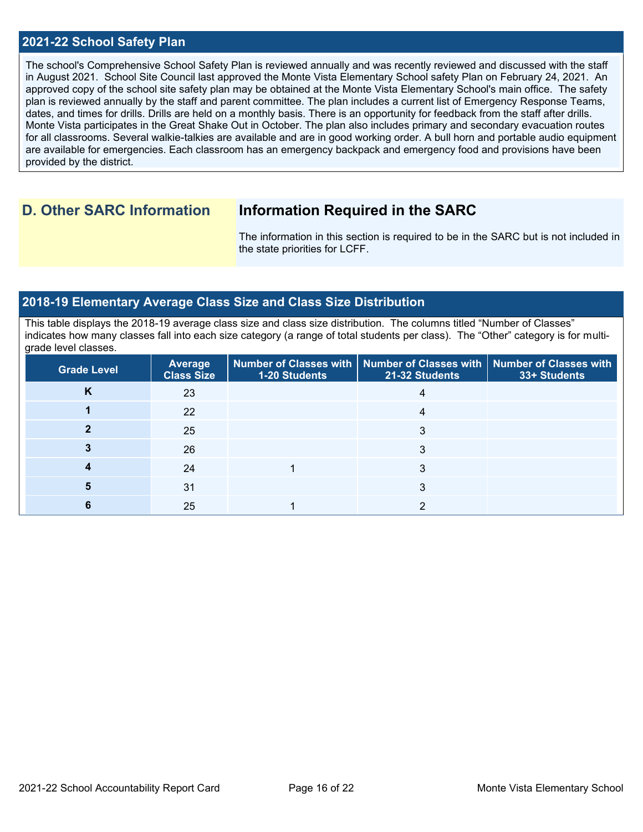#### **2021-22 School Safety Plan**

The school's Comprehensive School Safety Plan is reviewed annually and was recently reviewed and discussed with the staff in August 2021. School Site Council last approved the Monte Vista Elementary School safety Plan on February 24, 2021. An approved copy of the school site safety plan may be obtained at the Monte Vista Elementary School's main office. The safety plan is reviewed annually by the staff and parent committee. The plan includes a current list of Emergency Response Teams, dates, and times for drills. Drills are held on a monthly basis. There is an opportunity for feedback from the staff after drills. Monte Vista participates in the Great Shake Out in October. The plan also includes primary and secondary evacuation routes for all classrooms. Several walkie-talkies are available and are in good working order. A bull horn and portable audio equipment are available for emergencies. Each classroom has an emergency backpack and emergency food and provisions have been provided by the district.

## **D. Other SARC Information Information Required in the SARC**

The information in this section is required to be in the SARC but is not included in the state priorities for LCFF.

#### **2018-19 Elementary Average Class Size and Class Size Distribution**

This table displays the 2018-19 average class size and class size distribution. The columns titled "Number of Classes" indicates how many classes fall into each size category (a range of total students per class). The "Other" category is for multigrade level classes.

| <b>Grade Level</b> | Average<br><b>Class Size</b> | 1-20 Students | Number of Classes with   Number of Classes with   Number of Classes with<br>21-32 Students | 33+ Students |
|--------------------|------------------------------|---------------|--------------------------------------------------------------------------------------------|--------------|
| n                  | 23                           |               |                                                                                            |              |
|                    | 22                           |               |                                                                                            |              |
|                    | 25                           |               |                                                                                            |              |
|                    | 26                           |               |                                                                                            |              |
|                    | 24                           |               |                                                                                            |              |
| b                  | 31                           |               |                                                                                            |              |
|                    | 25                           |               |                                                                                            |              |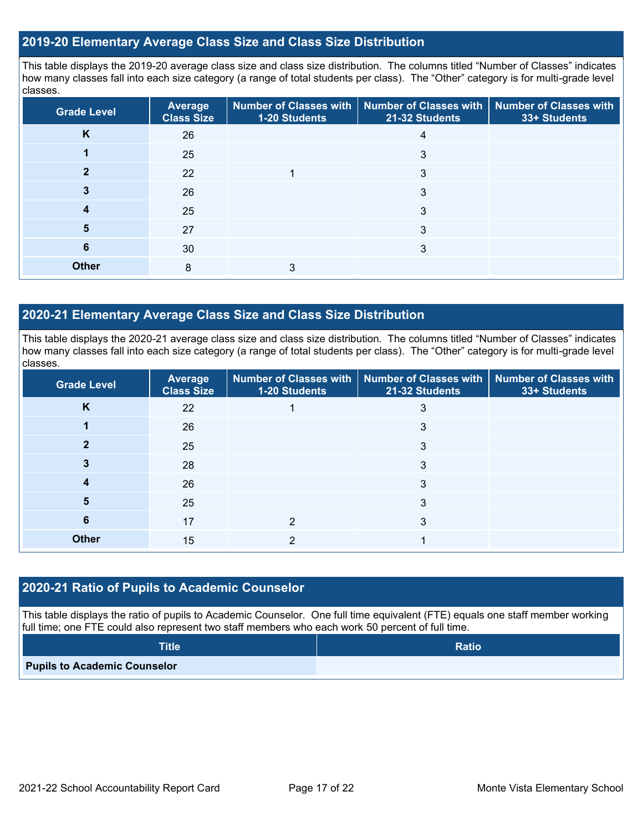#### **2019-20 Elementary Average Class Size and Class Size Distribution**

This table displays the 2019-20 average class size and class size distribution. The columns titled "Number of Classes" indicates how many classes fall into each size category (a range of total students per class). The "Other" category is for multi-grade level classes.

| <b>Grade Level</b> | Average<br><b>Class Size</b> | 1-20 Students | Number of Classes with   Number of Classes with<br>21-32 Students | <b>Number of Classes with</b><br>33+ Students |
|--------------------|------------------------------|---------------|-------------------------------------------------------------------|-----------------------------------------------|
| K                  | 26                           |               |                                                                   |                                               |
|                    | 25                           |               | 3                                                                 |                                               |
|                    | 22                           |               | 3                                                                 |                                               |
|                    | 26                           |               | 3                                                                 |                                               |
| 4                  | 25                           |               | 3                                                                 |                                               |
| 5                  | 27                           |               | 3                                                                 |                                               |
| 6                  | 30                           |               | 3                                                                 |                                               |
| <b>Other</b>       | 8                            | 3             |                                                                   |                                               |

#### **2020-21 Elementary Average Class Size and Class Size Distribution**

This table displays the 2020-21 average class size and class size distribution. The columns titled "Number of Classes" indicates how many classes fall into each size category (a range of total students per class). The "Other" category is for multi-grade level classes.

| <b>Grade Level</b> | Average<br><b>Class Size</b> | 1-20 Students | Number of Classes with   Number of Classes with   Number of Classes with<br>21-32 Students | 33+ Students |
|--------------------|------------------------------|---------------|--------------------------------------------------------------------------------------------|--------------|
| K                  | 22                           |               | 3                                                                                          |              |
|                    | 26                           |               | 3                                                                                          |              |
|                    | 25                           |               | 3                                                                                          |              |
|                    | 28                           |               | 3                                                                                          |              |
|                    | 26                           |               | 3                                                                                          |              |
| 5                  | 25                           |               | 3                                                                                          |              |
| 6                  | 17                           | 2             | 3                                                                                          |              |
| <b>Other</b>       | 15                           | 2             |                                                                                            |              |

#### **2020-21 Ratio of Pupils to Academic Counselor**

This table displays the ratio of pupils to Academic Counselor. One full time equivalent (FTE) equals one staff member working full time; one FTE could also represent two staff members who each work 50 percent of full time.

| <b>Title</b>                        | <b>Ratio</b> |
|-------------------------------------|--------------|
| <b>Pupils to Academic Counselor</b> |              |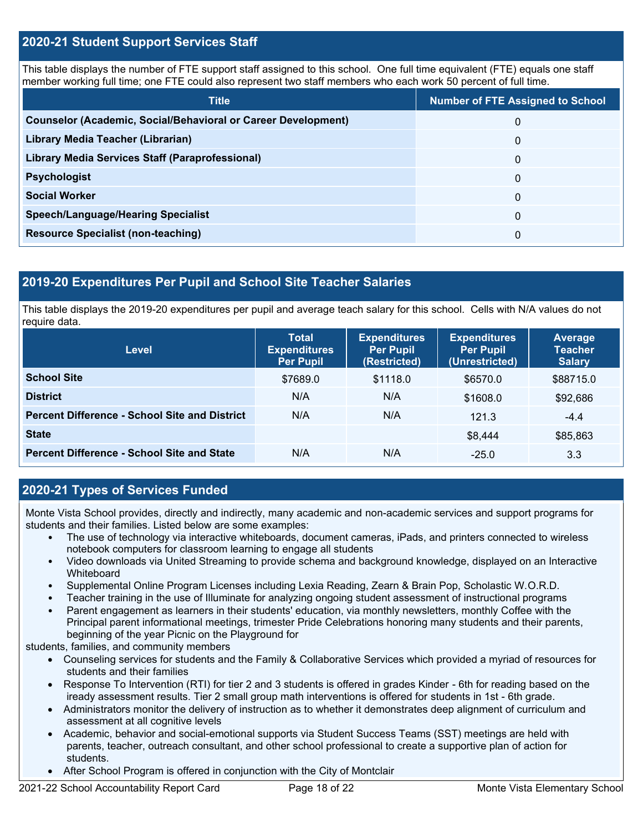#### **2020-21 Student Support Services Staff**

This table displays the number of FTE support staff assigned to this school. One full time equivalent (FTE) equals one staff member working full time; one FTE could also represent two staff members who each work 50 percent of full time.

| <b>Title</b>                                                         | <b>Number of FTE Assigned to School</b> |
|----------------------------------------------------------------------|-----------------------------------------|
| <b>Counselor (Academic, Social/Behavioral or Career Development)</b> | $\Omega$                                |
| Library Media Teacher (Librarian)                                    | $\Omega$                                |
| Library Media Services Staff (Paraprofessional)                      | $\Omega$                                |
| <b>Psychologist</b>                                                  | $\Omega$                                |
| <b>Social Worker</b>                                                 | $\Omega$                                |
| <b>Speech/Language/Hearing Specialist</b>                            | $\Omega$                                |
| <b>Resource Specialist (non-teaching)</b>                            | $\Omega$                                |

## **2019-20 Expenditures Per Pupil and School Site Teacher Salaries**

This table displays the 2019-20 expenditures per pupil and average teach salary for this school. Cells with N/A values do not require data.

| Level                                                | <b>Total</b><br><b>Expenditures</b><br><b>Per Pupil</b> | <b>Expenditures</b><br><b>Per Pupil</b><br>(Restricted) | <b>Expenditures</b><br><b>Per Pupil</b><br>(Unrestricted) | <b>Average</b><br><b>Teacher</b><br><b>Salary</b> |
|------------------------------------------------------|---------------------------------------------------------|---------------------------------------------------------|-----------------------------------------------------------|---------------------------------------------------|
| <b>School Site</b>                                   | \$7689.0                                                | \$1118.0                                                | \$6570.0                                                  | \$88715.0                                         |
| <b>District</b>                                      | N/A                                                     | N/A                                                     | \$1608.0                                                  | \$92,686                                          |
| <b>Percent Difference - School Site and District</b> | N/A                                                     | N/A                                                     | 121.3                                                     | $-4.4$                                            |
| <b>State</b>                                         |                                                         |                                                         | \$8,444                                                   | \$85,863                                          |
| <b>Percent Difference - School Site and State</b>    | N/A                                                     | N/A                                                     | $-25.0$                                                   | 3.3                                               |

#### **2020-21 Types of Services Funded**

Monte Vista School provides, directly and indirectly, many academic and non-academic services and support programs for students and their families. Listed below are some examples:

- The use of technology via interactive whiteboards, document cameras, iPads, and printers connected to wireless notebook computers for classroom learning to engage all students
- Video downloads via United Streaming to provide schema and background knowledge, displayed on an Interactive **Whiteboard**
- Supplemental Online Program Licenses including Lexia Reading, Zearn & Brain Pop, Scholastic W.O.R.D.
- Teacher training in the use of Illuminate for analyzing ongoing student assessment of instructional programs
- Parent engagement as learners in their students' education, via monthly newsletters, monthly Coffee with the Principal parent informational meetings, trimester Pride Celebrations honoring many students and their parents, beginning of the year Picnic on the Playground for

students, families, and community members

- Counseling services for students and the Family & Collaborative Services which provided a myriad of resources for students and their families
- Response To Intervention (RTI) for tier 2 and 3 students is offered in grades Kinder 6th for reading based on the iready assessment results. Tier 2 small group math interventions is offered for students in 1st - 6th grade.
- Administrators monitor the delivery of instruction as to whether it demonstrates deep alignment of curriculum and assessment at all cognitive levels
- Academic, behavior and social-emotional supports via Student Success Teams (SST) meetings are held with parents, teacher, outreach consultant, and other school professional to create a supportive plan of action for students.
- After School Program is offered in conjunction with the City of Montclair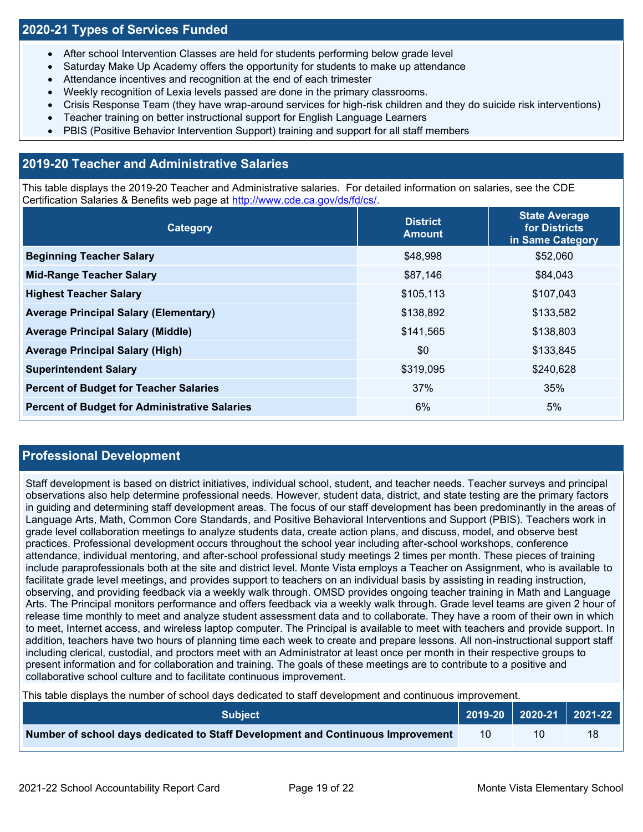### **2020-21 Types of Services Funded**

- After school Intervention Classes are held for students performing below grade level
- Saturday Make Up Academy offers the opportunity for students to make up attendance
- Attendance incentives and recognition at the end of each trimester
- Weekly recognition of Lexia levels passed are done in the primary classrooms.
- Crisis Response Team (they have wrap-around services for high-risk children and they do suicide risk interventions)
- Teacher training on better instructional support for English Language Learners
- PBIS (Positive Behavior Intervention Support) training and support for all staff members

### **2019-20 Teacher and Administrative Salaries**

This table displays the 2019-20 Teacher and Administrative salaries. For detailed information on salaries, see the CDE Certification Salaries & Benefits web page at [http://www.cde.ca.gov/ds/fd/cs/.](http://www.cde.ca.gov/ds/fd/cs/)

| Category                                             | <b>District</b><br><b>Amount</b> | <b>State Average</b><br>for Districts<br>in Same Category |
|------------------------------------------------------|----------------------------------|-----------------------------------------------------------|
| <b>Beginning Teacher Salary</b>                      | \$48,998                         | \$52,060                                                  |
| <b>Mid-Range Teacher Salary</b>                      | \$87,146                         | \$84,043                                                  |
| <b>Highest Teacher Salary</b>                        | \$105,113                        | \$107,043                                                 |
| <b>Average Principal Salary (Elementary)</b>         | \$138,892                        | \$133,582                                                 |
| <b>Average Principal Salary (Middle)</b>             | \$141,565                        | \$138,803                                                 |
| <b>Average Principal Salary (High)</b>               | \$0                              | \$133,845                                                 |
| <b>Superintendent Salary</b>                         | \$319,095                        | \$240,628                                                 |
| <b>Percent of Budget for Teacher Salaries</b>        | 37%                              | 35%                                                       |
| <b>Percent of Budget for Administrative Salaries</b> | 6%                               | 5%                                                        |

#### **Professional Development**

Staff development is based on district initiatives, individual school, student, and teacher needs. Teacher surveys and principal observations also help determine professional needs. However, student data, district, and state testing are the primary factors in guiding and determining staff development areas. The focus of our staff development has been predominantly in the areas of Language Arts, Math, Common Core Standards, and Positive Behavioral Interventions and Support (PBIS). Teachers work in grade level collaboration meetings to analyze students data, create action plans, and discuss, model, and observe best practices. Professional development occurs throughout the school year including after-school workshops, conference attendance, individual mentoring, and after-school professional study meetings 2 times per month. These pieces of training include paraprofessionals both at the site and district level. Monte Vista employs a Teacher on Assignment, who is available to facilitate grade level meetings, and provides support to teachers on an individual basis by assisting in reading instruction, observing, and providing feedback via a weekly walk through. OMSD provides ongoing teacher training in Math and Language Arts. The Principal monitors performance and offers feedback via a weekly walk through. Grade level teams are given 2 hour of release time monthly to meet and analyze student assessment data and to collaborate. They have a room of their own in which to meet, Internet access, and wireless laptop computer. The Principal is available to meet with teachers and provide support. In addition, teachers have two hours of planning time each week to create and prepare lessons. All non-instructional support staff including clerical, custodial, and proctors meet with an Administrator at least once per month in their respective groups to present information and for collaboration and training. The goals of these meetings are to contribute to a positive and collaborative school culture and to facilitate continuous improvement.

This table displays the number of school days dedicated to staff development and continuous improvement.

| <b>Subiect</b>                                                                  |    | $\vert$ 2019-20 $\vert$ 2020-21 $\vert$ 2021-22 $\vert$ |
|---------------------------------------------------------------------------------|----|---------------------------------------------------------|
| Number of school days dedicated to Staff Development and Continuous Improvement | 10 | 18                                                      |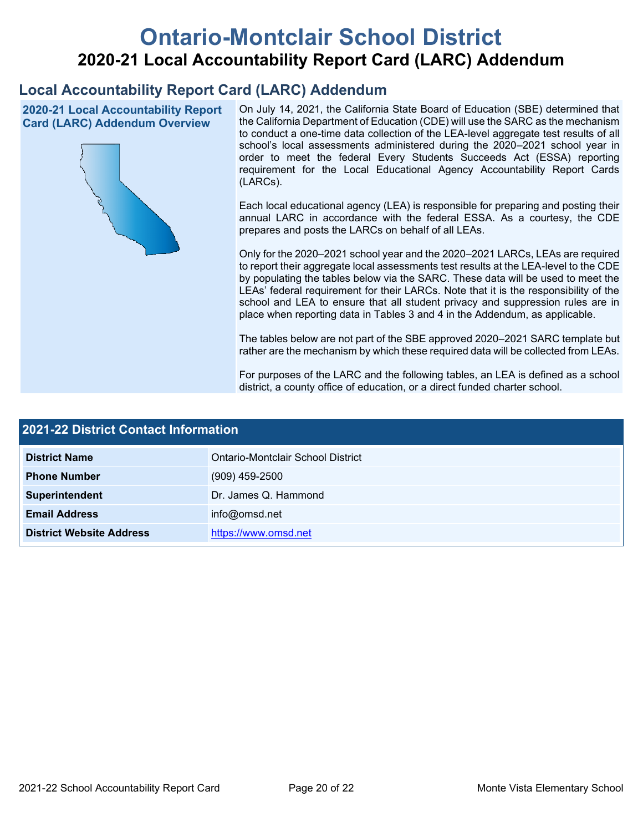# **Ontario-Montclair School District 2020-21 Local Accountability Report Card (LARC) Addendum**

## **Local Accountability Report Card (LARC) Addendum**

**2020-21 Local Accountability Report Card (LARC) Addendum Overview**



On July 14, 2021, the California State Board of Education (SBE) determined that the California Department of Education (CDE) will use the SARC as the mechanism to conduct a one-time data collection of the LEA-level aggregate test results of all school's local assessments administered during the 2020–2021 school year in order to meet the federal Every Students Succeeds Act (ESSA) reporting requirement for the Local Educational Agency Accountability Report Cards (LARCs).

Each local educational agency (LEA) is responsible for preparing and posting their annual LARC in accordance with the federal ESSA. As a courtesy, the CDE prepares and posts the LARCs on behalf of all LEAs.

Only for the 2020–2021 school year and the 2020–2021 LARCs, LEAs are required to report their aggregate local assessments test results at the LEA-level to the CDE by populating the tables below via the SARC. These data will be used to meet the LEAs' federal requirement for their LARCs. Note that it is the responsibility of the school and LEA to ensure that all student privacy and suppression rules are in place when reporting data in Tables 3 and 4 in the Addendum, as applicable.

The tables below are not part of the SBE approved 2020–2021 SARC template but rather are the mechanism by which these required data will be collected from LEAs.

For purposes of the LARC and the following tables, an LEA is defined as a school district, a county office of education, or a direct funded charter school.

| 2021-22 District Contact Information |                                   |  |
|--------------------------------------|-----------------------------------|--|
| <b>District Name</b>                 | Ontario-Montclair School District |  |
| <b>Phone Number</b>                  | $(909)$ 459-2500                  |  |
| Superintendent                       | Dr. James Q. Hammond              |  |
| <b>Email Address</b>                 | info@omsd.net                     |  |
| <b>District Website Address</b>      | https://www.omsd.net              |  |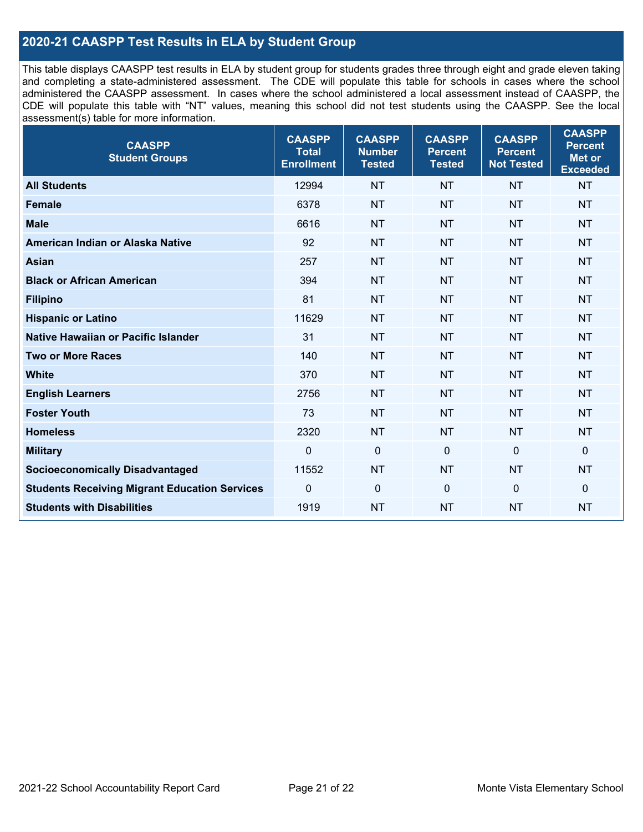### **2020-21 CAASPP Test Results in ELA by Student Group**

This table displays CAASPP test results in ELA by student group for students grades three through eight and grade eleven taking and completing a state-administered assessment. The CDE will populate this table for schools in cases where the school administered the CAASPP assessment. In cases where the school administered a local assessment instead of CAASPP, the CDE will populate this table with "NT" values, meaning this school did not test students using the CAASPP. See the local assessment(s) table for more information.

| <b>CAASPP</b><br><b>Student Groups</b>               | <b>CAASPP</b><br><b>Total</b><br><b>Enrollment</b> | <b>CAASPP</b><br><b>Number</b><br><b>Tested</b> | <b>CAASPP</b><br><b>Percent</b><br><b>Tested</b> | <b>CAASPP</b><br><b>Percent</b><br><b>Not Tested</b> | <b>CAASPP</b><br><b>Percent</b><br>Met or<br><b>Exceeded</b> |
|------------------------------------------------------|----------------------------------------------------|-------------------------------------------------|--------------------------------------------------|------------------------------------------------------|--------------------------------------------------------------|
| <b>All Students</b>                                  | 12994                                              | <b>NT</b>                                       | <b>NT</b>                                        | <b>NT</b>                                            | <b>NT</b>                                                    |
| <b>Female</b>                                        | 6378                                               | <b>NT</b>                                       | <b>NT</b>                                        | <b>NT</b>                                            | <b>NT</b>                                                    |
| <b>Male</b>                                          | 6616                                               | <b>NT</b>                                       | <b>NT</b>                                        | <b>NT</b>                                            | <b>NT</b>                                                    |
| American Indian or Alaska Native                     | 92                                                 | <b>NT</b>                                       | <b>NT</b>                                        | <b>NT</b>                                            | <b>NT</b>                                                    |
| <b>Asian</b>                                         | 257                                                | <b>NT</b>                                       | <b>NT</b>                                        | <b>NT</b>                                            | <b>NT</b>                                                    |
| <b>Black or African American</b>                     | 394                                                | <b>NT</b>                                       | <b>NT</b>                                        | <b>NT</b>                                            | <b>NT</b>                                                    |
| <b>Filipino</b>                                      | 81                                                 | <b>NT</b>                                       | <b>NT</b>                                        | <b>NT</b>                                            | <b>NT</b>                                                    |
| <b>Hispanic or Latino</b>                            | 11629                                              | <b>NT</b>                                       | <b>NT</b>                                        | <b>NT</b>                                            | <b>NT</b>                                                    |
| Native Hawaiian or Pacific Islander                  | 31                                                 | <b>NT</b>                                       | <b>NT</b>                                        | <b>NT</b>                                            | <b>NT</b>                                                    |
| <b>Two or More Races</b>                             | 140                                                | <b>NT</b>                                       | <b>NT</b>                                        | <b>NT</b>                                            | <b>NT</b>                                                    |
| <b>White</b>                                         | 370                                                | <b>NT</b>                                       | <b>NT</b>                                        | <b>NT</b>                                            | <b>NT</b>                                                    |
| <b>English Learners</b>                              | 2756                                               | <b>NT</b>                                       | <b>NT</b>                                        | <b>NT</b>                                            | <b>NT</b>                                                    |
| <b>Foster Youth</b>                                  | 73                                                 | <b>NT</b>                                       | <b>NT</b>                                        | <b>NT</b>                                            | <b>NT</b>                                                    |
| <b>Homeless</b>                                      | 2320                                               | <b>NT</b>                                       | <b>NT</b>                                        | <b>NT</b>                                            | <b>NT</b>                                                    |
| <b>Military</b>                                      | $\mathbf 0$                                        | $\mathbf 0$                                     | $\mathbf 0$                                      | $\mathbf 0$                                          | 0                                                            |
| <b>Socioeconomically Disadvantaged</b>               | 11552                                              | <b>NT</b>                                       | <b>NT</b>                                        | <b>NT</b>                                            | <b>NT</b>                                                    |
| <b>Students Receiving Migrant Education Services</b> | $\Omega$                                           | $\mathbf 0$                                     | $\mathbf{0}$                                     | $\Omega$                                             | 0                                                            |
| <b>Students with Disabilities</b>                    | 1919                                               | <b>NT</b>                                       | <b>NT</b>                                        | <b>NT</b>                                            | <b>NT</b>                                                    |